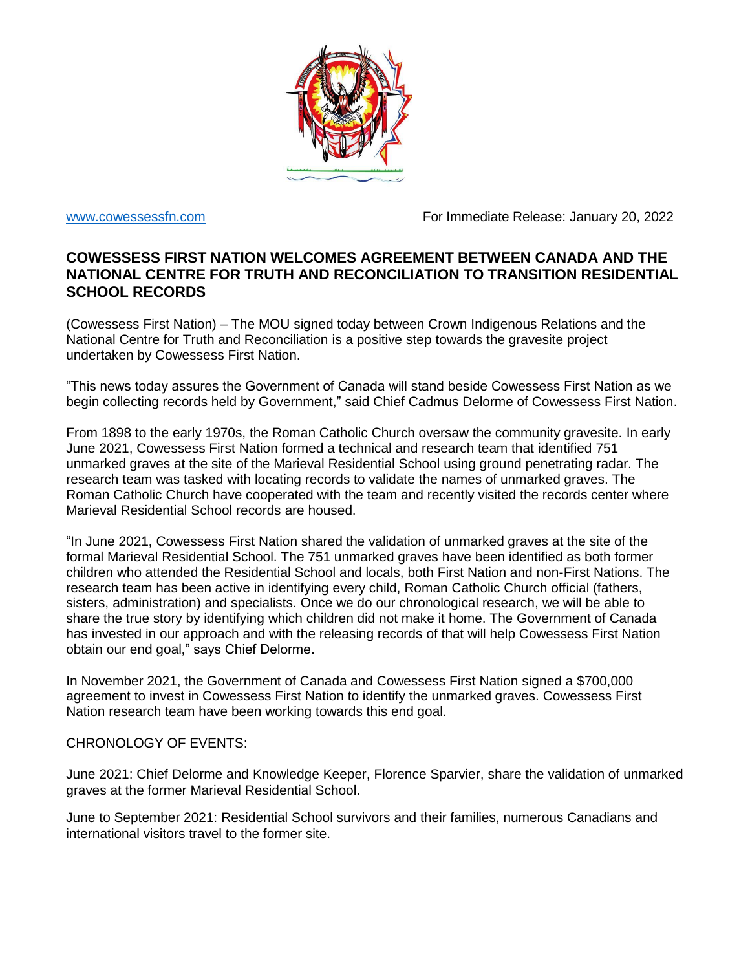

[www.cowessessfn.com](http://www.cowessessfn.com/) example and the Forland For Immediate Release: January 20, 2022

## **COWESSESS FIRST NATION WELCOMES AGREEMENT BETWEEN CANADA AND THE NATIONAL CENTRE FOR TRUTH AND RECONCILIATION TO TRANSITION RESIDENTIAL SCHOOL RECORDS**

(Cowessess First Nation) – The MOU signed today between Crown Indigenous Relations and the National Centre for Truth and Reconciliation is a positive step towards the gravesite project undertaken by Cowessess First Nation.

"This news today assures the Government of Canada will stand beside Cowessess First Nation as we begin collecting records held by Government," said Chief Cadmus Delorme of Cowessess First Nation.

From 1898 to the early 1970s, the Roman Catholic Church oversaw the community gravesite. In early June 2021, Cowessess First Nation formed a technical and research team that identified 751 unmarked graves at the site of the Marieval Residential School using ground penetrating radar. The research team was tasked with locating records to validate the names of unmarked graves. The Roman Catholic Church have cooperated with the team and recently visited the records center where Marieval Residential School records are housed.

"In June 2021, Cowessess First Nation shared the validation of unmarked graves at the site of the formal Marieval Residential School. The 751 unmarked graves have been identified as both former children who attended the Residential School and locals, both First Nation and non-First Nations. The research team has been active in identifying every child, Roman Catholic Church official (fathers, sisters, administration) and specialists. Once we do our chronological research, we will be able to share the true story by identifying which children did not make it home. The Government of Canada has invested in our approach and with the releasing records of that will help Cowessess First Nation obtain our end goal," says Chief Delorme.

In November 2021, the Government of Canada and Cowessess First Nation signed a \$700,000 agreement to invest in Cowessess First Nation to identify the unmarked graves. Cowessess First Nation research team have been working towards this end goal.

## CHRONOLOGY OF EVENTS:

June 2021: Chief Delorme and Knowledge Keeper, Florence Sparvier, share the validation of unmarked graves at the former Marieval Residential School.

June to September 2021: Residential School survivors and their families, numerous Canadians and international visitors travel to the former site.